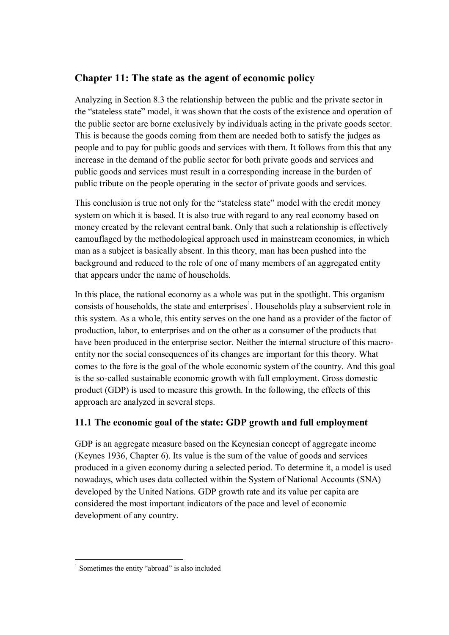## **Chapter 11: The state as the agent of economic policy**

Analyzing in Section 8.3 the relationship between the public and the private sector in the "stateless state" model, it was shown that the costs of the existence and operation of the public sector are borne exclusively by individuals acting in the private goods sector. This is because the goods coming from them are needed both to satisfy the judges as people and to pay for public goods and services with them. It follows from this that any increase in the demand of the public sector for both private goods and services and public goods and services must result in a corresponding increase in the burden of public tribute on the people operating in the sector of private goods and services.

This conclusion is true not only for the "stateless state" model with the credit money system on which it is based. It is also true with regard to any real economy based on money created by the relevant central bank. Only that such a relationship is effectively camouflaged by the methodological approach used in mainstream economics, in which man as a subject is basically absent. In this theory, man has been pushed into the background and reduced to the role of one of many members of an aggregated entity that appears under the name of households.

In this place, the national economy as a whole was put in the spotlight. This organism consists of households, the state and enterprises<sup>1</sup>. Households play a subservient role in this system. As a whole, this entity serves on the one hand as a provider of the factor of production, labor, to enterprises and on the other as a consumer of the products that have been produced in the enterprise sector. Neither the internal structure of this macroentity nor the social consequences of its changes are important for this theory. What comes to the fore is the goal of the whole economic system of the country. And this goal is the so-called sustainable economic growth with full employment. Gross domestic product (GDP) is used to measure this growth. In the following, the effects of this approach are analyzed in several steps.

## **11.1 The economic goal of the state: GDP growth and full employment**

GDP is an aggregate measure based on the Keynesian concept of aggregate income (Keynes 1936, Chapter 6). Its value is the sum of the value of goods and services produced in a given economy during a selected period. To determine it, a model is used nowadays, which uses data collected within the System of National Accounts (SNA) developed by the United Nations. GDP growth rate and its value per capita are considered the most important indicators of the pace and level of economic development of any country.

 $\overline{a}$ <sup>1</sup> Sometimes the entity "abroad" is also included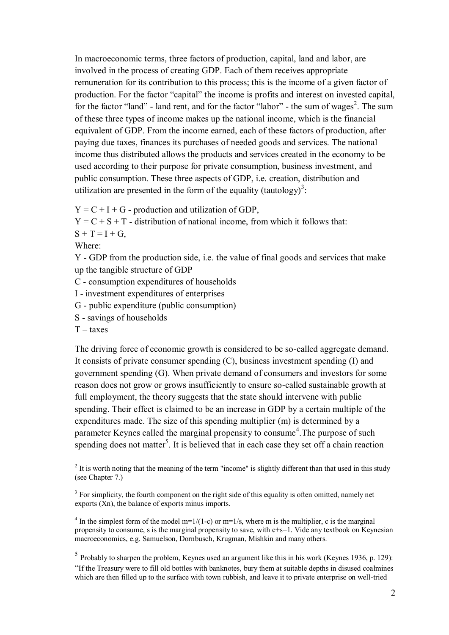In macroeconomic terms, three factors of production, capital, land and labor, are involved in the process of creating GDP. Each of them receives appropriate remuneration for its contribution to this process; this is the income of a given factor of production. For the factor "capital" the income is profits and interest on invested capital, for the factor "land" - land rent, and for the factor "labor" - the sum of wages<sup>2</sup>. The sum of these three types of income makes up the national income, which is the financial equivalent of GDP. From the income earned, each of these factors of production, after paying due taxes, finances its purchases of needed goods and services. The national income thus distributed allows the products and services created in the economy to be used according to their purpose for private consumption, business investment, and public consumption. These three aspects of GDP, i.e. creation, distribution and utilization are presented in the form of the equality (tautology)<sup>3</sup>:

 $Y = C + I + G$  - production and utilization of GDP,

 $Y = C + S + T$  - distribution of national income, from which it follows that:

 $S + T = I + G$ ,

Where:

Y - GDP from the production side, i.e. the value of final goods and services that make up the tangible structure of GDP

C - consumption expenditures of households

I - investment expenditures of enterprises

G - public expenditure (public consumption)

S - savings of households

 $T -$ taxes

 $\overline{a}$ 

The driving force of economic growth is considered to be so-called aggregate demand. It consists of private consumer spending (C), business investment spending (I) and government spending (G). When private demand of consumers and investors for some reason does not grow or grows insufficiently to ensure so-called sustainable growth at full employment, the theory suggests that the state should intervene with public spending. Their effect is claimed to be an increase in GDP by a certain multiple of the expenditures made. The size of this spending multiplier (m) is determined by a parameter Keynes called the marginal propensity to consume<sup>4</sup>. The purpose of such spending does not matter<sup>5</sup>. It is believed that in each case they set off a chain reaction

 $2$  It is worth noting that the meaning of the term "income" is slightly different than that used in this study (see Chapter 7.)

 $3$  For simplicity, the fourth component on the right side of this equality is often omitted, namely net exports (Xn), the balance of exports minus imports.

<sup>&</sup>lt;sup>4</sup> In the simplest form of the model m=1/(1-c) or m=1/s, where m is the multiplier, c is the marginal propensity to consume, s is the marginal propensity to save, with c+s=1. Vide any textbook on Keynesian macroeconomics, e.g. Samuelson, Dornbusch, Krugman, Mishkin and many others.

<sup>&</sup>lt;sup>5</sup> Probably to sharpen the problem, Keynes used an argument like this in his work (Keynes 1936, p. 129): "If the Treasury were to fill old bottles with banknotes, bury them at suitable depths in disused coalmines which are then filled up to the surface with town rubbish, and leave it to private enterprise on well-tried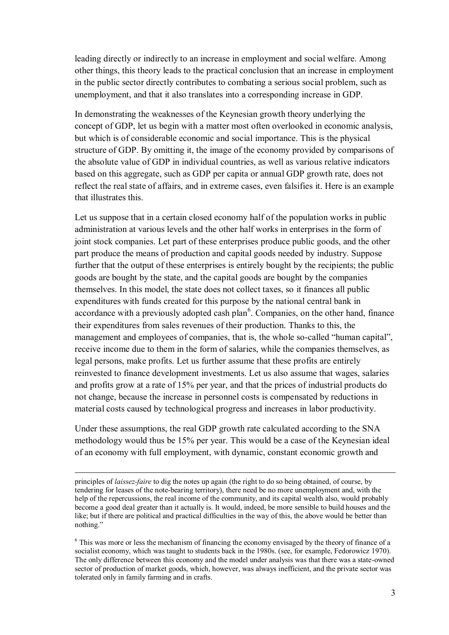leading directly or indirectly to an increase in employment and social welfare. Among other things, this theory leads to the practical conclusion that an increase in employment in the public sector directly contributes to combating a serious social problem, such as unemployment, and that it also translates into a corresponding increase in GDP.

In demonstrating the weaknesses of the Keynesian growth theory underlying the concept of GDP, let us begin with a matter most often overlooked in economic analysis, but which is of considerable economic and social importance. This is the physical structure of GDP. By omitting it, the image of the economy provided by comparisons of the absolute value of GDP in individual countries, as well as various relative indicators based on this aggregate, such as GDP per capita or annual GDP growth rate, does not reflect the real state of affairs, and in extreme cases, even falsifies it. Here is an example that illustrates this.

Let us suppose that in a certain closed economy half of the population works in public administration at various levels and the other half works in enterprises in the form of joint stock companies. Let part of these enterprises produce public goods, and the other part produce the means of production and capital goods needed by industry. Suppose further that the output of these enterprises is entirely bought by the recipients; the public goods are bought by the state, and the capital goods are bought by the companies themselves. In this model, the state does not collect taxes, so it finances all public expenditures with funds created for this purpose by the national central bank in accordance with a previously adopted cash plan<sup>6</sup>. Companies, on the other hand, finance their expenditures from sales revenues of their production. Thanks to this, the management and employees of companies, that is, the whole so-called "human capital", receive income due to them in the form of salaries, while the companies themselves, as legal persons, make profits. Let us further assume that these profits are entirely reinvested to finance development investments. Let us also assume that wages, salaries and profits grow at a rate of 15% per year, and that the prices of industrial products do not change, because the increase in personnel costs is compensated by reductions in material costs caused by technological progress and increases in labor productivity.

Under these assumptions, the real GDP growth rate calculated according to the SNA methodology would thus be 15% per year. This would be a case of the Keynesian ideal of an economy with full employment, with dynamic, constant economic growth and

principles of *laissez-faire* to dig the notes up again (the right to do so being obtained, of course, by tendering for leases of the note-bearing territory), there need be no more unemployment and, with the help of the repercussions, the real income of the community, and its capital wealth also, would probably become a good deal greater than it actually is. It would, indeed, be more sensible to build houses and the like; but if there are political and practical difficulties in the way of this, the above would be better than nothing."

<sup>&</sup>lt;sup>6</sup> This was more or less the mechanism of financing the economy envisaged by the theory of finance of a socialist economy, which was taught to students back in the 1980s. (see, for example, Fedorowicz 1970). The only difference between this economy and the model under analysis was that there was a state-owned sector of production of market goods, which, however, was always inefficient, and the private sector was tolerated only in family farming and in crafts.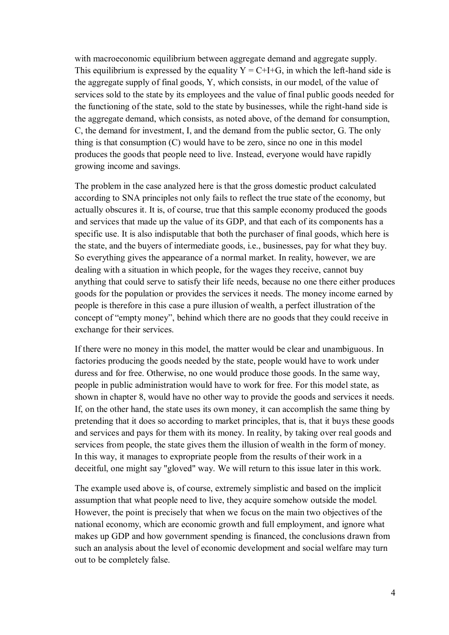with macroeconomic equilibrium between aggregate demand and aggregate supply. This equilibrium is expressed by the equality  $Y = C+I+G$ , in which the left-hand side is the aggregate supply of final goods, Y, which consists, in our model, of the value of services sold to the state by its employees and the value of final public goods needed for the functioning of the state, sold to the state by businesses, while the right-hand side is the aggregate demand, which consists, as noted above, of the demand for consumption, C, the demand for investment, I, and the demand from the public sector, G. The only thing is that consumption (C) would have to be zero, since no one in this model produces the goods that people need to live. Instead, everyone would have rapidly growing income and savings.

The problem in the case analyzed here is that the gross domestic product calculated according to SNA principles not only fails to reflect the true state of the economy, but actually obscures it. It is, of course, true that this sample economy produced the goods and services that made up the value of its GDP, and that each of its components has a specific use. It is also indisputable that both the purchaser of final goods, which here is the state, and the buyers of intermediate goods, i.e., businesses, pay for what they buy. So everything gives the appearance of a normal market. In reality, however, we are dealing with a situation in which people, for the wages they receive, cannot buy anything that could serve to satisfy their life needs, because no one there either produces goods for the population or provides the services it needs. The money income earned by people is therefore in this case a pure illusion of wealth, a perfect illustration of the concept of "empty money", behind which there are no goods that they could receive in exchange for their services.

If there were no money in this model, the matter would be clear and unambiguous. In factories producing the goods needed by the state, people would have to work under duress and for free. Otherwise, no one would produce those goods. In the same way, people in public administration would have to work for free. For this model state, as shown in chapter 8, would have no other way to provide the goods and services it needs. If, on the other hand, the state uses its own money, it can accomplish the same thing by pretending that it does so according to market principles, that is, that it buys these goods and services and pays for them with its money. In reality, by taking over real goods and services from people, the state gives them the illusion of wealth in the form of money. In this way, it manages to expropriate people from the results of their work in a deceitful, one might say "gloved" way. We will return to this issue later in this work.

The example used above is, of course, extremely simplistic and based on the implicit assumption that what people need to live, they acquire somehow outside the model. However, the point is precisely that when we focus on the main two objectives of the national economy, which are economic growth and full employment, and ignore what makes up GDP and how government spending is financed, the conclusions drawn from such an analysis about the level of economic development and social welfare may turn out to be completely false.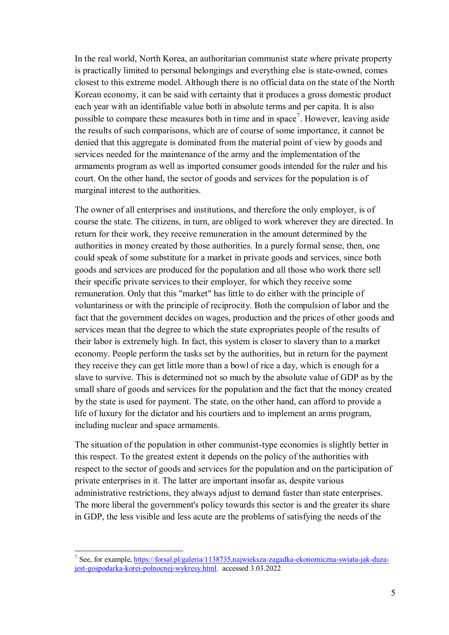In the real world, North Korea, an authoritarian communist state where private property is practically limited to personal belongings and everything else is state-owned, comes closest to this extreme model. Although there is no official data on the state of the North Korean economy, it can be said with certainty that it produces a gross domestic product each year with an identifiable value both in absolute terms and per capita. It is also possible to compare these measures both in time and in space<sup>7</sup>. However, leaving aside the results of such comparisons, which are of course of some importance, it cannot be denied that this aggregate is dominated from the material point of view by goods and services needed for the maintenance of the army and the implementation of the armaments program as well as imported consumer goods intended for the ruler and his court. On the other hand, the sector of goods and services for the population is of marginal interest to the authorities.

The owner of all enterprises and institutions, and therefore the only employer, is of course the state. The citizens, in turn, are obliged to work wherever they are directed. In return for their work, they receive remuneration in the amount determined by the authorities in money created by those authorities. In a purely formal sense, then, one could speak of some substitute for a market in private goods and services, since both goods and services are produced for the population and all those who work there sell their specific private services to their employer, for which they receive some remuneration. Only that this "market" has little to do either with the principle of voluntariness or with the principle of reciprocity. Both the compulsion of labor and the fact that the government decides on wages, production and the prices of other goods and services mean that the degree to which the state expropriates people of the results of their labor is extremely high. In fact, this system is closer to slavery than to a market economy. People perform the tasks set by the authorities, but in return for the payment they receive they can get little more than a bowl of rice a day, which is enough for a slave to survive. This is determined not so much by the absolute value of GDP as by the small share of goods and services for the population and the fact that the money created by the state is used for payment. The state, on the other hand, can afford to provide a life of luxury for the dictator and his courtiers and to implement an arms program, including nuclear and space armaments.

The situation of the population in other communist-type economies is slightly better in this respect. To the greatest extent it depends on the policy of the authorities with respect to the sector of goods and services for the population and on the participation of private enterprises in it. The latter are important insofar as, despite various administrative restrictions, they always adjust to demand faster than state enterprises. The more liberal the government's policy towards this sector is and the greater its share in GDP, the less visible and less acute are the problems of satisfying the needs of the

<sup>&</sup>lt;sup>7</sup> See, for example[, https://forsal.pl/galeria/1138735,najwieksza-zagadka-ekonomiczna-swiata-jak-duza](https://forsal.pl/galeria/1138735,najwieksza-zagadka-ekonomiczna-swiata-jak-duza-jest-gospodarka-korei-polnocnej-wykresy.html)[jest-gospodarka-korei-polnocnej-wykresy.html.](https://forsal.pl/galeria/1138735,najwieksza-zagadka-ekonomiczna-swiata-jak-duza-jest-gospodarka-korei-polnocnej-wykresy.html) accessed 3.03.2022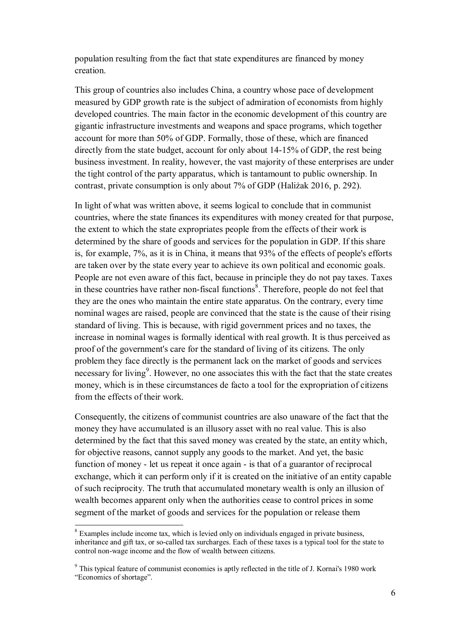population resulting from the fact that state expenditures are financed by money creation.

This group of countries also includes China, a country whose pace of development measured by GDP growth rate is the subject of admiration of economists from highly developed countries. The main factor in the economic development of this country are gigantic infrastructure investments and weapons and space programs, which together account for more than 50% of GDP. Formally, those of these, which are financed directly from the state budget, account for only about 14-15% of GDP, the rest being business investment. In reality, however, the vast majority of these enterprises are under the tight control of the party apparatus, which is tantamount to public ownership. In contrast, private consumption is only about 7% of GDP (Haliżak 2016, p. 292).

In light of what was written above, it seems logical to conclude that in communist countries, where the state finances its expenditures with money created for that purpose, the extent to which the state expropriates people from the effects of their work is determined by the share of goods and services for the population in GDP. If this share is, for example, 7%, as it is in China, it means that 93% of the effects of people's efforts are taken over by the state every year to achieve its own political and economic goals. People are not even aware of this fact, because in principle they do not pay taxes. Taxes in these countries have rather non-fiscal functions<sup>8</sup>. Therefore, people do not feel that they are the ones who maintain the entire state apparatus. On the contrary, every time nominal wages are raised, people are convinced that the state is the cause of their rising standard of living. This is because, with rigid government prices and no taxes, the increase in nominal wages is formally identical with real growth. It is thus perceived as proof of the government's care for the standard of living of its citizens. The only problem they face directly is the permanent lack on the market of goods and services necessary for living<sup>9</sup>. However, no one associates this with the fact that the state creates money, which is in these circumstances de facto a tool for the expropriation of citizens from the effects of their work.

Consequently, the citizens of communist countries are also unaware of the fact that the money they have accumulated is an illusory asset with no real value. This is also determined by the fact that this saved money was created by the state, an entity which, for objective reasons, cannot supply any goods to the market. And yet, the basic function of money - let us repeat it once again - is that of a guarantor of reciprocal exchange, which it can perform only if it is created on the initiative of an entity capable of such reciprocity. The truth that accumulated monetary wealth is only an illusion of wealth becomes apparent only when the authorities cease to control prices in some segment of the market of goods and services for the population or release them

<sup>8</sup> Examples include income tax, which is levied only on individuals engaged in private business, inheritance and gift tax, or so-called tax surcharges. Each of these taxes is a typical tool for the state to control non-wage income and the flow of wealth between citizens.

<sup>&</sup>lt;sup>9</sup> This typical feature of communist economies is aptly reflected in the title of J. Kornai's 1980 work "Economics of shortage".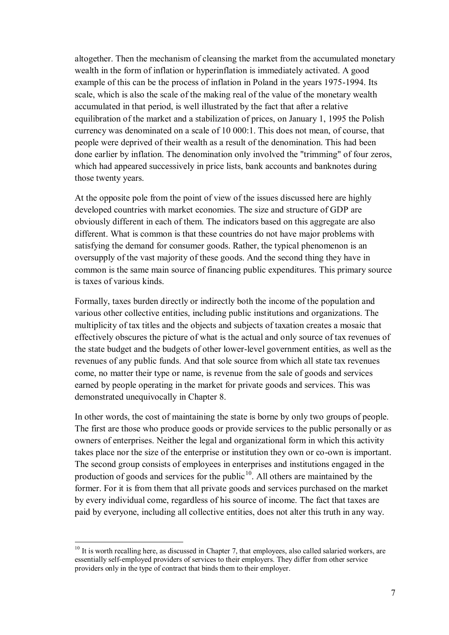altogether. Then the mechanism of cleansing the market from the accumulated monetary wealth in the form of inflation or hyperinflation is immediately activated. A good example of this can be the process of inflation in Poland in the years 1975-1994. Its scale, which is also the scale of the making real of the value of the monetary wealth accumulated in that period, is well illustrated by the fact that after a relative equilibration of the market and a stabilization of prices, on January 1, 1995 the Polish currency was denominated on a scale of 10 000:1. This does not mean, of course, that people were deprived of their wealth as a result of the denomination. This had been done earlier by inflation. The denomination only involved the "trimming" of four zeros, which had appeared successively in price lists, bank accounts and banknotes during those twenty years.

At the opposite pole from the point of view of the issues discussed here are highly developed countries with market economies. The size and structure of GDP are obviously different in each of them. The indicators based on this aggregate are also different. What is common is that these countries do not have major problems with satisfying the demand for consumer goods. Rather, the typical phenomenon is an oversupply of the vast majority of these goods. And the second thing they have in common is the same main source of financing public expenditures. This primary source is taxes of various kinds.

Formally, taxes burden directly or indirectly both the income of the population and various other collective entities, including public institutions and organizations. The multiplicity of tax titles and the objects and subjects of taxation creates a mosaic that effectively obscures the picture of what is the actual and only source of tax revenues of the state budget and the budgets of other lower-level government entities, as well as the revenues of any public funds. And that sole source from which all state tax revenues come, no matter their type or name, is revenue from the sale of goods and services earned by people operating in the market for private goods and services. This was demonstrated unequivocally in Chapter 8.

In other words, the cost of maintaining the state is borne by only two groups of people. The first are those who produce goods or provide services to the public personally or as owners of enterprises. Neither the legal and organizational form in which this activity takes place nor the size of the enterprise or institution they own or co-own is important. The second group consists of employees in enterprises and institutions engaged in the production of goods and services for the public<sup>10</sup>. All others are maintained by the former. For it is from them that all private goods and services purchased on the market by every individual come, regardless of his source of income. The fact that taxes are paid by everyone, including all collective entities, does not alter this truth in any way.

 $10$  It is worth recalling here, as discussed in Chapter 7, that employees, also called salaried workers, are essentially self-employed providers of services to their employers. They differ from other service providers only in the type of contract that binds them to their employer.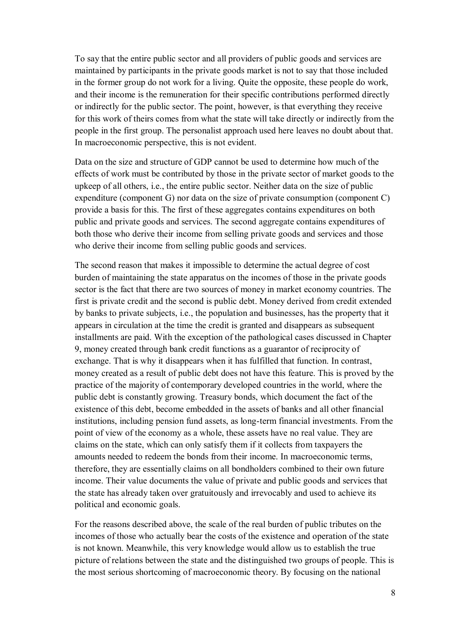To say that the entire public sector and all providers of public goods and services are maintained by participants in the private goods market is not to say that those included in the former group do not work for a living. Quite the opposite, these people do work, and their income is the remuneration for their specific contributions performed directly or indirectly for the public sector. The point, however, is that everything they receive for this work of theirs comes from what the state will take directly or indirectly from the people in the first group. The personalist approach used here leaves no doubt about that. In macroeconomic perspective, this is not evident.

Data on the size and structure of GDP cannot be used to determine how much of the effects of work must be contributed by those in the private sector of market goods to the upkeep of all others, i.e., the entire public sector. Neither data on the size of public expenditure (component G) nor data on the size of private consumption (component C) provide a basis for this. The first of these aggregates contains expenditures on both public and private goods and services. The second aggregate contains expenditures of both those who derive their income from selling private goods and services and those who derive their income from selling public goods and services.

The second reason that makes it impossible to determine the actual degree of cost burden of maintaining the state apparatus on the incomes of those in the private goods sector is the fact that there are two sources of money in market economy countries. The first is private credit and the second is public debt. Money derived from credit extended by banks to private subjects, i.e., the population and businesses, has the property that it appears in circulation at the time the credit is granted and disappears as subsequent installments are paid. With the exception of the pathological cases discussed in Chapter 9, money created through bank credit functions as a guarantor of reciprocity of exchange. That is why it disappears when it has fulfilled that function. In contrast, money created as a result of public debt does not have this feature. This is proved by the practice of the majority of contemporary developed countries in the world, where the public debt is constantly growing. Treasury bonds, which document the fact of the existence of this debt, become embedded in the assets of banks and all other financial institutions, including pension fund assets, as long-term financial investments. From the point of view of the economy as a whole, these assets have no real value. They are claims on the state, which can only satisfy them if it collects from taxpayers the amounts needed to redeem the bonds from their income. In macroeconomic terms, therefore, they are essentially claims on all bondholders combined to their own future income. Their value documents the value of private and public goods and services that the state has already taken over gratuitously and irrevocably and used to achieve its political and economic goals.

For the reasons described above, the scale of the real burden of public tributes on the incomes of those who actually bear the costs of the existence and operation of the state is not known. Meanwhile, this very knowledge would allow us to establish the true picture of relations between the state and the distinguished two groups of people. This is the most serious shortcoming of macroeconomic theory. By focusing on the national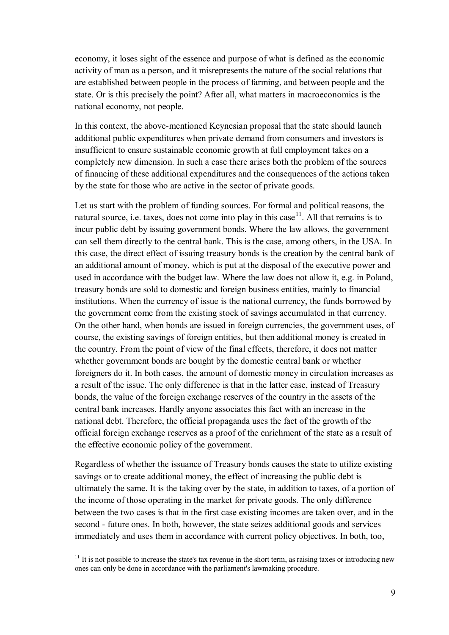economy, it loses sight of the essence and purpose of what is defined as the economic activity of man as a person, and it misrepresents the nature of the social relations that are established between people in the process of farming, and between people and the state. Or is this precisely the point? After all, what matters in macroeconomics is the national economy, not people.

In this context, the above-mentioned Keynesian proposal that the state should launch additional public expenditures when private demand from consumers and investors is insufficient to ensure sustainable economic growth at full employment takes on a completely new dimension. In such a case there arises both the problem of the sources of financing of these additional expenditures and the consequences of the actions taken by the state for those who are active in the sector of private goods.

Let us start with the problem of funding sources. For formal and political reasons, the natural source, i.e. taxes, does not come into play in this case  $11$ . All that remains is to incur public debt by issuing government bonds. Where the law allows, the government can sell them directly to the central bank. This is the case, among others, in the USA. In this case, the direct effect of issuing treasury bonds is the creation by the central bank of an additional amount of money, which is put at the disposal of the executive power and used in accordance with the budget law. Where the law does not allow it, e.g. in Poland, treasury bonds are sold to domestic and foreign business entities, mainly to financial institutions. When the currency of issue is the national currency, the funds borrowed by the government come from the existing stock of savings accumulated in that currency. On the other hand, when bonds are issued in foreign currencies, the government uses, of course, the existing savings of foreign entities, but then additional money is created in the country. From the point of view of the final effects, therefore, it does not matter whether government bonds are bought by the domestic central bank or whether foreigners do it. In both cases, the amount of domestic money in circulation increases as a result of the issue. The only difference is that in the latter case, instead of Treasury bonds, the value of the foreign exchange reserves of the country in the assets of the central bank increases. Hardly anyone associates this fact with an increase in the national debt. Therefore, the official propaganda uses the fact of the growth of the official foreign exchange reserves as a proof of the enrichment of the state as a result of the effective economic policy of the government.

Regardless of whether the issuance of Treasury bonds causes the state to utilize existing savings or to create additional money, the effect of increasing the public debt is ultimately the same. It is the taking over by the state, in addition to taxes, of a portion of the income of those operating in the market for private goods. The only difference between the two cases is that in the first case existing incomes are taken over, and in the second - future ones. In both, however, the state seizes additional goods and services immediately and uses them in accordance with current policy objectives. In both, too,

 $11$  It is not possible to increase the state's tax revenue in the short term, as raising taxes or introducing new ones can only be done in accordance with the parliament's lawmaking procedure.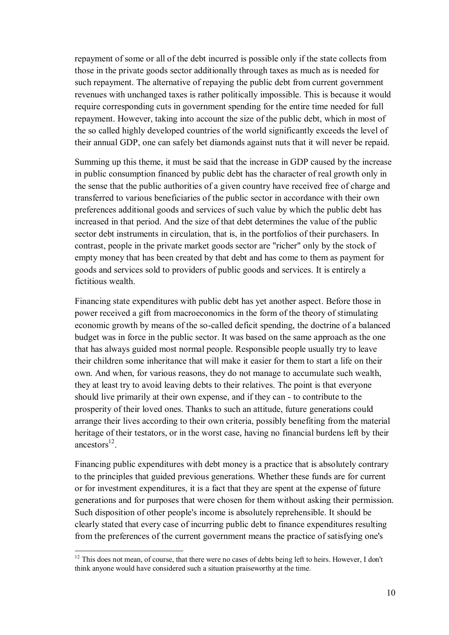repayment of some or all of the debt incurred is possible only if the state collects from those in the private goods sector additionally through taxes as much as is needed for such repayment. The alternative of repaying the public debt from current government revenues with unchanged taxes is rather politically impossible. This is because it would require corresponding cuts in government spending for the entire time needed for full repayment. However, taking into account the size of the public debt, which in most of the so called highly developed countries of the world significantly exceeds the level of their annual GDP, one can safely bet diamonds against nuts that it will never be repaid.

Summing up this theme, it must be said that the increase in GDP caused by the increase in public consumption financed by public debt has the character of real growth only in the sense that the public authorities of a given country have received free of charge and transferred to various beneficiaries of the public sector in accordance with their own preferences additional goods and services of such value by which the public debt has increased in that period. And the size of that debt determines the value of the public sector debt instruments in circulation, that is, in the portfolios of their purchasers. In contrast, people in the private market goods sector are "richer" only by the stock of empty money that has been created by that debt and has come to them as payment for goods and services sold to providers of public goods and services. It is entirely a fictitious wealth.

Financing state expenditures with public debt has yet another aspect. Before those in power received a gift from macroeconomics in the form of the theory of stimulating economic growth by means of the so-called deficit spending, the doctrine of a balanced budget was in force in the public sector. It was based on the same approach as the one that has always guided most normal people. Responsible people usually try to leave their children some inheritance that will make it easier for them to start a life on their own. And when, for various reasons, they do not manage to accumulate such wealth, they at least try to avoid leaving debts to their relatives. The point is that everyone should live primarily at their own expense, and if they can - to contribute to the prosperity of their loved ones. Thanks to such an attitude, future generations could arrange their lives according to their own criteria, possibly benefiting from the material heritage of their testators, or in the worst case, having no financial burdens left by their ancestors $^{12}$ .

Financing public expenditures with debt money is a practice that is absolutely contrary to the principles that guided previous generations. Whether these funds are for current or for investment expenditures, it is a fact that they are spent at the expense of future generations and for purposes that were chosen for them without asking their permission. Such disposition of other people's income is absolutely reprehensible. It should be clearly stated that every case of incurring public debt to finance expenditures resulting from the preferences of the current government means the practice of satisfying one's

 $12$  This does not mean, of course, that there were no cases of debts being left to heirs. However, I don't think anyone would have considered such a situation praiseworthy at the time.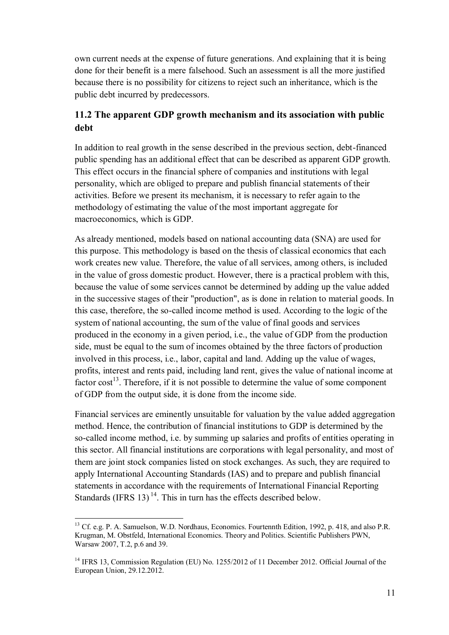own current needs at the expense of future generations. And explaining that it is being done for their benefit is a mere falsehood. Such an assessment is all the more justified because there is no possibility for citizens to reject such an inheritance, which is the public debt incurred by predecessors.

# **11.2 The apparent GDP growth mechanism and its association with public debt**

In addition to real growth in the sense described in the previous section, debt-financed public spending has an additional effect that can be described as apparent GDP growth. This effect occurs in the financial sphere of companies and institutions with legal personality, which are obliged to prepare and publish financial statements of their activities. Before we present its mechanism, it is necessary to refer again to the methodology of estimating the value of the most important aggregate for macroeconomics, which is GDP.

As already mentioned, models based on national accounting data (SNA) are used for this purpose. This methodology is based on the thesis of classical economics that each work creates new value. Therefore, the value of all services, among others, is included in the value of gross domestic product. However, there is a practical problem with this, because the value of some services cannot be determined by adding up the value added in the successive stages of their "production", as is done in relation to material goods. In this case, therefore, the so-called income method is used. According to the logic of the system of national accounting, the sum of the value of final goods and services produced in the economy in a given period, i.e., the value of GDP from the production side, must be equal to the sum of incomes obtained by the three factors of production involved in this process, i.e., labor, capital and land. Adding up the value of wages, profits, interest and rents paid, including land rent, gives the value of national income at factor  $cost^{13}$ . Therefore, if it is not possible to determine the value of some component of GDP from the output side, it is done from the income side.

Financial services are eminently unsuitable for valuation by the value added aggregation method. Hence, the contribution of financial institutions to GDP is determined by the so-called income method, i.e. by summing up salaries and profits of entities operating in this sector. All financial institutions are corporations with legal personality, and most of them are joint stock companies listed on stock exchanges. As such, they are required to apply International Accounting Standards (IAS) and to prepare and publish financial statements in accordance with the requirements of International Financial Reporting Standards (IFRS  $13$ )<sup>14</sup>. This in turn has the effects described below.

 $\overline{a}$ <sup>13</sup> Cf. e.g. P. A. Samuelson, W.D. Nordhaus, Economics. Fourtennth Edition, 1992, p. 418, and also P.R. Krugman, M. Obstfeld, International Economics. Theory and Politics. Scientific Publishers PWN, Warsaw 2007, T.2, p.6 and 39.

<sup>&</sup>lt;sup>14</sup> IFRS 13, Commission Regulation (EU) No. 1255/2012 of 11 December 2012. Official Journal of the European Union, 29.12.2012.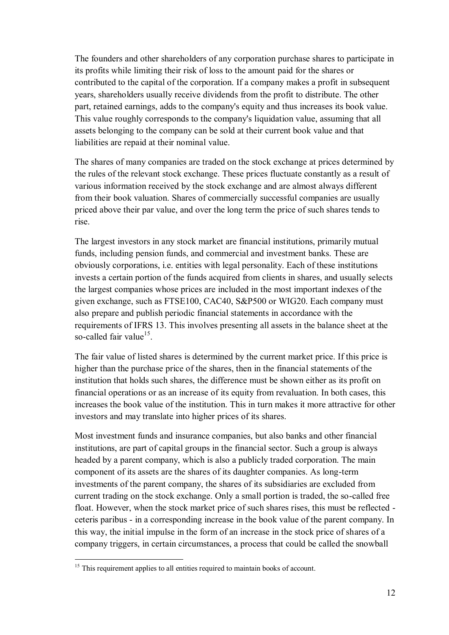The founders and other shareholders of any corporation purchase shares to participate in its profits while limiting their risk of loss to the amount paid for the shares or contributed to the capital of the corporation. If a company makes a profit in subsequent years, shareholders usually receive dividends from the profit to distribute. The other part, retained earnings, adds to the company's equity and thus increases its book value. This value roughly corresponds to the company's liquidation value, assuming that all assets belonging to the company can be sold at their current book value and that liabilities are repaid at their nominal value.

The shares of many companies are traded on the stock exchange at prices determined by the rules of the relevant stock exchange. These prices fluctuate constantly as a result of various information received by the stock exchange and are almost always different from their book valuation. Shares of commercially successful companies are usually priced above their par value, and over the long term the price of such shares tends to rise.

The largest investors in any stock market are financial institutions, primarily mutual funds, including pension funds, and commercial and investment banks. These are obviously corporations, i.e. entities with legal personality. Each of these institutions invests a certain portion of the funds acquired from clients in shares, and usually selects the largest companies whose prices are included in the most important indexes of the given exchange, such as FTSE100, CAC40, S&P500 or WIG20. Each company must also prepare and publish periodic financial statements in accordance with the requirements of IFRS 13. This involves presenting all assets in the balance sheet at the so-called fair value<sup>15</sup>.

The fair value of listed shares is determined by the current market price. If this price is higher than the purchase price of the shares, then in the financial statements of the institution that holds such shares, the difference must be shown either as its profit on financial operations or as an increase of its equity from revaluation. In both cases, this increases the book value of the institution. This in turn makes it more attractive for other investors and may translate into higher prices of its shares.

Most investment funds and insurance companies, but also banks and other financial institutions, are part of capital groups in the financial sector. Such a group is always headed by a parent company, which is also a publicly traded corporation. The main component of its assets are the shares of its daughter companies. As long-term investments of the parent company, the shares of its subsidiaries are excluded from current trading on the stock exchange. Only a small portion is traded, the so-called free float. However, when the stock market price of such shares rises, this must be reflected ceteris paribus - in a corresponding increase in the book value of the parent company. In this way, the initial impulse in the form of an increase in the stock price of shares of a company triggers, in certain circumstances, a process that could be called the snowball

 $15$  This requirement applies to all entities required to maintain books of account.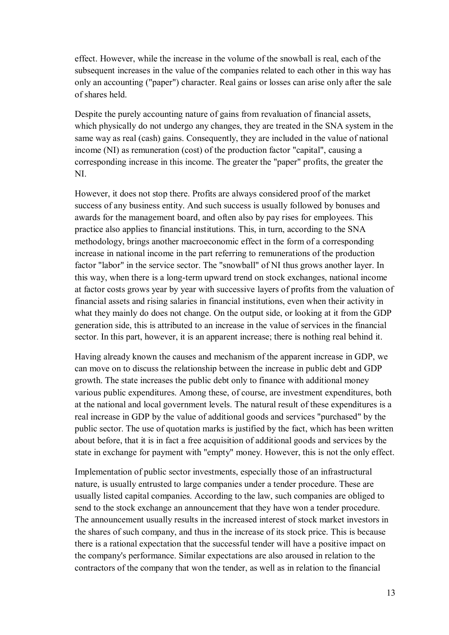effect. However, while the increase in the volume of the snowball is real, each of the subsequent increases in the value of the companies related to each other in this way has only an accounting ("paper") character. Real gains or losses can arise only after the sale of shares held.

Despite the purely accounting nature of gains from revaluation of financial assets, which physically do not undergo any changes, they are treated in the SNA system in the same way as real (cash) gains. Consequently, they are included in the value of national income (NI) as remuneration (cost) of the production factor "capital", causing a corresponding increase in this income. The greater the "paper" profits, the greater the NI.

However, it does not stop there. Profits are always considered proof of the market success of any business entity. And such success is usually followed by bonuses and awards for the management board, and often also by pay rises for employees. This practice also applies to financial institutions. This, in turn, according to the SNA methodology, brings another macroeconomic effect in the form of a corresponding increase in national income in the part referring to remunerations of the production factor "labor" in the service sector. The "snowball" of NI thus grows another layer. In this way, when there is a long-term upward trend on stock exchanges, national income at factor costs grows year by year with successive layers of profits from the valuation of financial assets and rising salaries in financial institutions, even when their activity in what they mainly do does not change. On the output side, or looking at it from the GDP generation side, this is attributed to an increase in the value of services in the financial sector. In this part, however, it is an apparent increase; there is nothing real behind it.

Having already known the causes and mechanism of the apparent increase in GDP, we can move on to discuss the relationship between the increase in public debt and GDP growth. The state increases the public debt only to finance with additional money various public expenditures. Among these, of course, are investment expenditures, both at the national and local government levels. The natural result of these expenditures is a real increase in GDP by the value of additional goods and services "purchased" by the public sector. The use of quotation marks is justified by the fact, which has been written about before, that it is in fact a free acquisition of additional goods and services by the state in exchange for payment with "empty" money. However, this is not the only effect.

Implementation of public sector investments, especially those of an infrastructural nature, is usually entrusted to large companies under a tender procedure. These are usually listed capital companies. According to the law, such companies are obliged to send to the stock exchange an announcement that they have won a tender procedure. The announcement usually results in the increased interest of stock market investors in the shares of such company, and thus in the increase of its stock price. This is because there is a rational expectation that the successful tender will have a positive impact on the company's performance. Similar expectations are also aroused in relation to the contractors of the company that won the tender, as well as in relation to the financial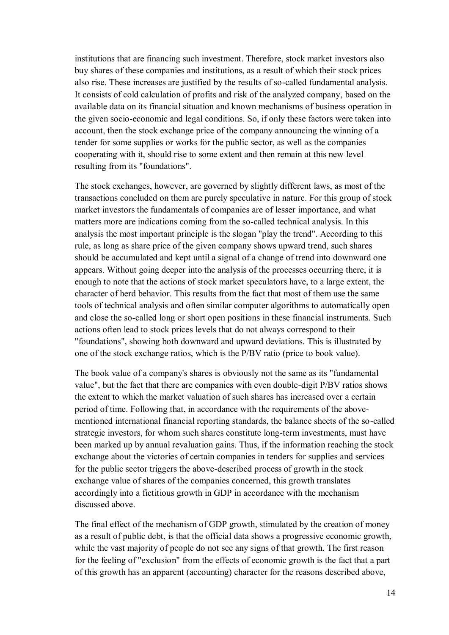institutions that are financing such investment. Therefore, stock market investors also buy shares of these companies and institutions, as a result of which their stock prices also rise. These increases are justified by the results of so-called fundamental analysis. It consists of cold calculation of profits and risk of the analyzed company, based on the available data on its financial situation and known mechanisms of business operation in the given socio-economic and legal conditions. So, if only these factors were taken into account, then the stock exchange price of the company announcing the winning of a tender for some supplies or works for the public sector, as well as the companies cooperating with it, should rise to some extent and then remain at this new level resulting from its "foundations".

The stock exchanges, however, are governed by slightly different laws, as most of the transactions concluded on them are purely speculative in nature. For this group of stock market investors the fundamentals of companies are of lesser importance, and what matters more are indications coming from the so-called technical analysis. In this analysis the most important principle is the slogan "play the trend". According to this rule, as long as share price of the given company shows upward trend, such shares should be accumulated and kept until a signal of a change of trend into downward one appears. Without going deeper into the analysis of the processes occurring there, it is enough to note that the actions of stock market speculators have, to a large extent, the character of herd behavior. This results from the fact that most of them use the same tools of technical analysis and often similar computer algorithms to automatically open and close the so-called long or short open positions in these financial instruments. Such actions often lead to stock prices levels that do not always correspond to their "foundations", showing both downward and upward deviations. This is illustrated by one of the stock exchange ratios, which is the P/BV ratio (price to book value).

The book value of a company's shares is obviously not the same as its "fundamental value", but the fact that there are companies with even double-digit P/BV ratios shows the extent to which the market valuation of such shares has increased over a certain period of time. Following that, in accordance with the requirements of the abovementioned international financial reporting standards, the balance sheets of the so-called strategic investors, for whom such shares constitute long-term investments, must have been marked up by annual revaluation gains. Thus, if the information reaching the stock exchange about the victories of certain companies in tenders for supplies and services for the public sector triggers the above-described process of growth in the stock exchange value of shares of the companies concerned, this growth translates accordingly into a fictitious growth in GDP in accordance with the mechanism discussed above.

The final effect of the mechanism of GDP growth, stimulated by the creation of money as a result of public debt, is that the official data shows a progressive economic growth, while the vast majority of people do not see any signs of that growth. The first reason for the feeling of "exclusion" from the effects of economic growth is the fact that a part of this growth has an apparent (accounting) character for the reasons described above,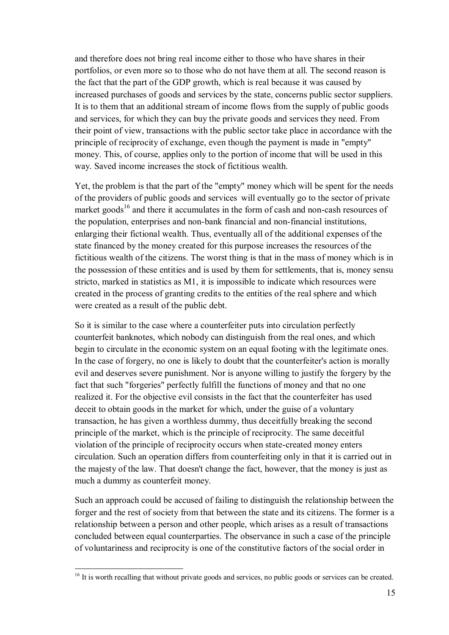and therefore does not bring real income either to those who have shares in their portfolios, or even more so to those who do not have them at all. The second reason is the fact that the part of the GDP growth, which is real because it was caused by increased purchases of goods and services by the state, concerns public sector suppliers. It is to them that an additional stream of income flows from the supply of public goods and services, for which they can buy the private goods and services they need. From their point of view, transactions with the public sector take place in accordance with the principle of reciprocity of exchange, even though the payment is made in "empty" money. This, of course, applies only to the portion of income that will be used in this way. Saved income increases the stock of fictitious wealth.

Yet, the problem is that the part of the "empty" money which will be spent for the needs of the providers of public goods and services will eventually go to the sector of private market goods<sup>16</sup> and there it accumulates in the form of cash and non-cash resources of the population, enterprises and non-bank financial and non-financial institutions, enlarging their fictional wealth. Thus, eventually all of the additional expenses of the state financed by the money created for this purpose increases the resources of the fictitious wealth of the citizens. The worst thing is that in the mass of money which is in the possession of these entities and is used by them for settlements, that is, money sensu stricto, marked in statistics as M1, it is impossible to indicate which resources were created in the process of granting credits to the entities of the real sphere and which were created as a result of the public debt.

So it is similar to the case where a counterfeiter puts into circulation perfectly counterfeit banknotes, which nobody can distinguish from the real ones, and which begin to circulate in the economic system on an equal footing with the legitimate ones. In the case of forgery, no one is likely to doubt that the counterfeiter's action is morally evil and deserves severe punishment. Nor is anyone willing to justify the forgery by the fact that such "forgeries" perfectly fulfill the functions of money and that no one realized it. For the objective evil consists in the fact that the counterfeiter has used deceit to obtain goods in the market for which, under the guise of a voluntary transaction, he has given a worthless dummy, thus deceitfully breaking the second principle of the market, which is the principle of reciprocity. The same deceitful violation of the principle of reciprocity occurs when state-created money enters circulation. Such an operation differs from counterfeiting only in that it is carried out in the majesty of the law. That doesn't change the fact, however, that the money is just as much a dummy as counterfeit money.

Such an approach could be accused of failing to distinguish the relationship between the forger and the rest of society from that between the state and its citizens. The former is a relationship between a person and other people, which arises as a result of transactions concluded between equal counterparties. The observance in such a case of the principle of voluntariness and reciprocity is one of the constitutive factors of the social order in

 $16$  It is worth recalling that without private goods and services, no public goods or services can be created.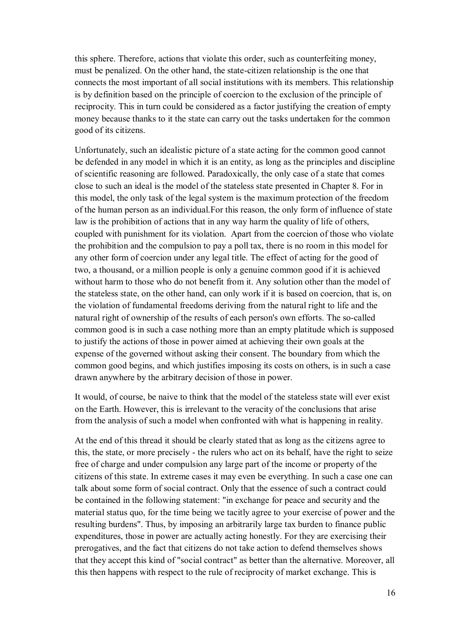this sphere. Therefore, actions that violate this order, such as counterfeiting money, must be penalized. On the other hand, the state-citizen relationship is the one that connects the most important of all social institutions with its members. This relationship is by definition based on the principle of coercion to the exclusion of the principle of reciprocity. This in turn could be considered as a factor justifying the creation of empty money because thanks to it the state can carry out the tasks undertaken for the common good of its citizens.

Unfortunately, such an idealistic picture of a state acting for the common good cannot be defended in any model in which it is an entity, as long as the principles and discipline of scientific reasoning are followed. Paradoxically, the only case of a state that comes close to such an ideal is the model of the stateless state presented in Chapter 8. For in this model, the only task of the legal system is the maximum protection of the freedom of the human person as an individual.For this reason, the only form of influence of state law is the prohibition of actions that in any way harm the quality of life of others, coupled with punishment for its violation. Apart from the coercion of those who violate the prohibition and the compulsion to pay a poll tax, there is no room in this model for any other form of coercion under any legal title. The effect of acting for the good of two, a thousand, or a million people is only a genuine common good if it is achieved without harm to those who do not benefit from it. Any solution other than the model of the stateless state, on the other hand, can only work if it is based on coercion, that is, on the violation of fundamental freedoms deriving from the natural right to life and the natural right of ownership of the results of each person's own efforts. The so-called common good is in such a case nothing more than an empty platitude which is supposed to justify the actions of those in power aimed at achieving their own goals at the expense of the governed without asking their consent. The boundary from which the common good begins, and which justifies imposing its costs on others, is in such a case drawn anywhere by the arbitrary decision of those in power.

It would, of course, be naive to think that the model of the stateless state will ever exist on the Earth. However, this is irrelevant to the veracity of the conclusions that arise from the analysis of such a model when confronted with what is happening in reality.

At the end of this thread it should be clearly stated that as long as the citizens agree to this, the state, or more precisely - the rulers who act on its behalf, have the right to seize free of charge and under compulsion any large part of the income or property of the citizens of this state. In extreme cases it may even be everything. In such a case one can talk about some form of social contract. Only that the essence of such a contract could be contained in the following statement: "in exchange for peace and security and the material status quo, for the time being we tacitly agree to your exercise of power and the resulting burdens". Thus, by imposing an arbitrarily large tax burden to finance public expenditures, those in power are actually acting honestly. For they are exercising their prerogatives, and the fact that citizens do not take action to defend themselves shows that they accept this kind of "social contract" as better than the alternative. Moreover, all this then happens with respect to the rule of reciprocity of market exchange. This is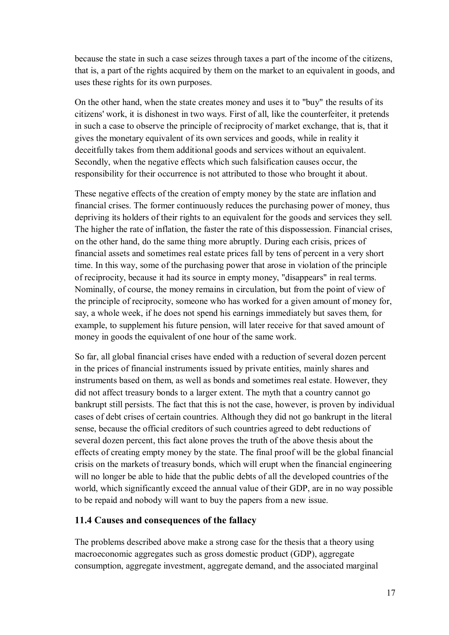because the state in such a case seizes through taxes a part of the income of the citizens, that is, a part of the rights acquired by them on the market to an equivalent in goods, and uses these rights for its own purposes.

On the other hand, when the state creates money and uses it to "buy" the results of its citizens' work, it is dishonest in two ways. First of all, like the counterfeiter, it pretends in such a case to observe the principle of reciprocity of market exchange, that is, that it gives the monetary equivalent of its own services and goods, while in reality it deceitfully takes from them additional goods and services without an equivalent. Secondly, when the negative effects which such falsification causes occur, the responsibility for their occurrence is not attributed to those who brought it about.

These negative effects of the creation of empty money by the state are inflation and financial crises. The former continuously reduces the purchasing power of money, thus depriving its holders of their rights to an equivalent for the goods and services they sell. The higher the rate of inflation, the faster the rate of this dispossession. Financial crises, on the other hand, do the same thing more abruptly. During each crisis, prices of financial assets and sometimes real estate prices fall by tens of percent in a very short time. In this way, some of the purchasing power that arose in violation of the principle of reciprocity, because it had its source in empty money, "disappears" in real terms. Nominally, of course, the money remains in circulation, but from the point of view of the principle of reciprocity, someone who has worked for a given amount of money for, say, a whole week, if he does not spend his earnings immediately but saves them, for example, to supplement his future pension, will later receive for that saved amount of money in goods the equivalent of one hour of the same work.

So far, all global financial crises have ended with a reduction of several dozen percent in the prices of financial instruments issued by private entities, mainly shares and instruments based on them, as well as bonds and sometimes real estate. However, they did not affect treasury bonds to a larger extent. The myth that a country cannot go bankrupt still persists. The fact that this is not the case, however, is proven by individual cases of debt crises of certain countries. Although they did not go bankrupt in the literal sense, because the official creditors of such countries agreed to debt reductions of several dozen percent, this fact alone proves the truth of the above thesis about the effects of creating empty money by the state. The final proof will be the global financial crisis on the markets of treasury bonds, which will erupt when the financial engineering will no longer be able to hide that the public debts of all the developed countries of the world, which significantly exceed the annual value of their GDP, are in no way possible to be repaid and nobody will want to buy the papers from a new issue.

### **11.4 Causes and consequences of the fallacy**

The problems described above make a strong case for the thesis that a theory using macroeconomic aggregates such as gross domestic product (GDP), aggregate consumption, aggregate investment, aggregate demand, and the associated marginal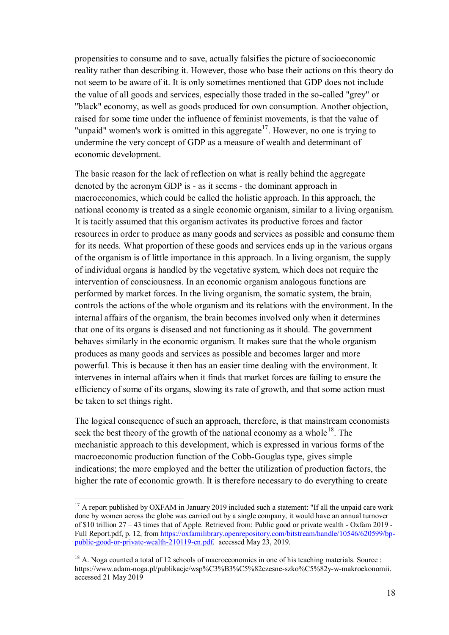propensities to consume and to save, actually falsifies the picture of socioeconomic reality rather than describing it. However, those who base their actions on this theory do not seem to be aware of it. It is only sometimes mentioned that GDP does not include the value of all goods and services, especially those traded in the so-called "grey" or "black" economy, as well as goods produced for own consumption. Another objection, raised for some time under the influence of feminist movements, is that the value of "unpaid" women's work is omitted in this aggregate<sup>17</sup>. However, no one is trying to undermine the very concept of GDP as a measure of wealth and determinant of economic development.

The basic reason for the lack of reflection on what is really behind the aggregate denoted by the acronym GDP is - as it seems - the dominant approach in macroeconomics, which could be called the holistic approach. In this approach, the national economy is treated as a single economic organism, similar to a living organism. It is tacitly assumed that this organism activates its productive forces and factor resources in order to produce as many goods and services as possible and consume them for its needs. What proportion of these goods and services ends up in the various organs of the organism is of little importance in this approach. In a living organism, the supply of individual organs is handled by the vegetative system, which does not require the intervention of consciousness. In an economic organism analogous functions are performed by market forces. In the living organism, the somatic system, the brain, controls the actions of the whole organism and its relations with the environment. In the internal affairs of the organism, the brain becomes involved only when it determines that one of its organs is diseased and not functioning as it should. The government behaves similarly in the economic organism. It makes sure that the whole organism produces as many goods and services as possible and becomes larger and more powerful. This is because it then has an easier time dealing with the environment. It intervenes in internal affairs when it finds that market forces are failing to ensure the efficiency of some of its organs, slowing its rate of growth, and that some action must be taken to set things right.

The logical consequence of such an approach, therefore, is that mainstream economists seek the best theory of the growth of the national economy as a whole  $18$ . The mechanistic approach to this development, which is expressed in various forms of the macroeconomic production function of the Cobb-Gouglas type, gives simple indications; the more employed and the better the utilization of production factors, the higher the rate of economic growth. It is therefore necessary to do everything to create

 $17$  A report published by OXFAM in January 2019 included such a statement: "If all the unpaid care work done by women across the globe was carried out by a single company, it would have an annual turnover of \$10 trillion 27 – 43 times that of Apple. Retrieved from: Public good or private wealth - Oxfam 2019 - Full Report.pdf, p. 12, from [https://oxfamilibrary.openrepository.com/bitstream/handle/10546/620599/bp](https://oxfamilibrary.openrepository.com/bitstream/handle/10546/620599/bp-public-good-or-private-wealth-210119-en.pdf)[public-good-or-private-wealth-210119-en.pdf.](https://oxfamilibrary.openrepository.com/bitstream/handle/10546/620599/bp-public-good-or-private-wealth-210119-en.pdf) accessed May 23, 2019.

<sup>&</sup>lt;sup>18</sup> A. Noga counted a total of 12 schools of macroeconomics in one of his teaching materials. Source : https://www.adam-noga.pl/publikacje/wsp%C3%B3%C5%82czesne-szko%C5%82y-w-makroekonomii. accessed 21 May 2019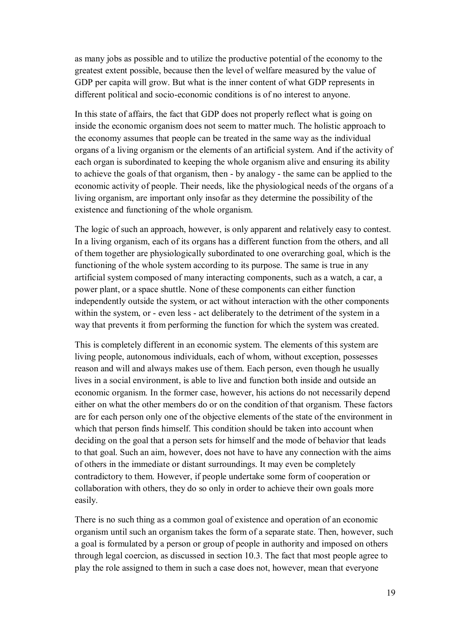as many jobs as possible and to utilize the productive potential of the economy to the greatest extent possible, because then the level of welfare measured by the value of GDP per capita will grow. But what is the inner content of what GDP represents in different political and socio-economic conditions is of no interest to anyone.

In this state of affairs, the fact that GDP does not properly reflect what is going on inside the economic organism does not seem to matter much. The holistic approach to the economy assumes that people can be treated in the same way as the individual organs of a living organism or the elements of an artificial system. And if the activity of each organ is subordinated to keeping the whole organism alive and ensuring its ability to achieve the goals of that organism, then - by analogy - the same can be applied to the economic activity of people. Their needs, like the physiological needs of the organs of a living organism, are important only insofar as they determine the possibility of the existence and functioning of the whole organism.

The logic of such an approach, however, is only apparent and relatively easy to contest. In a living organism, each of its organs has a different function from the others, and all of them together are physiologically subordinated to one overarching goal, which is the functioning of the whole system according to its purpose. The same is true in any artificial system composed of many interacting components, such as a watch, a car, a power plant, or a space shuttle. None of these components can either function independently outside the system, or act without interaction with the other components within the system, or - even less - act deliberately to the detriment of the system in a way that prevents it from performing the function for which the system was created.

This is completely different in an economic system. The elements of this system are living people, autonomous individuals, each of whom, without exception, possesses reason and will and always makes use of them. Each person, even though he usually lives in a social environment, is able to live and function both inside and outside an economic organism. In the former case, however, his actions do not necessarily depend either on what the other members do or on the condition of that organism. These factors are for each person only one of the objective elements of the state of the environment in which that person finds himself. This condition should be taken into account when deciding on the goal that a person sets for himself and the mode of behavior that leads to that goal. Such an aim, however, does not have to have any connection with the aims of others in the immediate or distant surroundings. It may even be completely contradictory to them. However, if people undertake some form of cooperation or collaboration with others, they do so only in order to achieve their own goals more easily.

There is no such thing as a common goal of existence and operation of an economic organism until such an organism takes the form of a separate state. Then, however, such a goal is formulated by a person or group of people in authority and imposed on others through legal coercion, as discussed in section 10.3. The fact that most people agree to play the role assigned to them in such a case does not, however, mean that everyone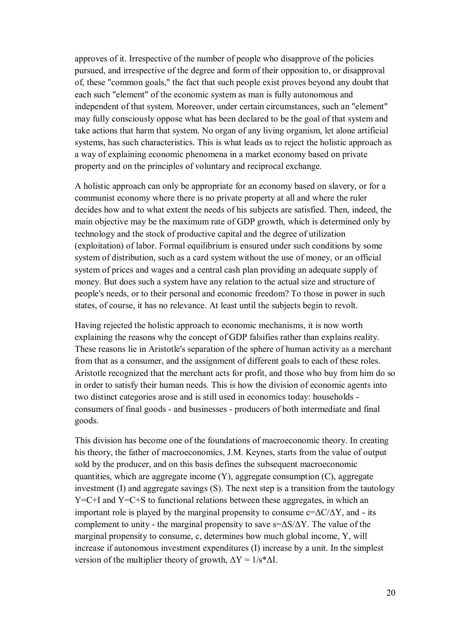approves of it. Irrespective of the number of people who disapprove of the policies pursued, and irrespective of the degree and form of their opposition to, or disapproval of, these "common goals," the fact that such people exist proves beyond any doubt that each such "element" of the economic system as man is fully autonomous and independent of that system. Moreover, under certain circumstances, such an "element" may fully consciously oppose what has been declared to be the goal of that system and take actions that harm that system. No organ of any living organism, let alone artificial systems, has such characteristics. This is what leads us to reject the holistic approach as a way of explaining economic phenomena in a market economy based on private property and on the principles of voluntary and reciprocal exchange.

A holistic approach can only be appropriate for an economy based on slavery, or for a communist economy where there is no private property at all and where the ruler decides how and to what extent the needs of his subjects are satisfied. Then, indeed, the main objective may be the maximum rate of GDP growth, which is determined only by technology and the stock of productive capital and the degree of utilization (exploitation) of labor. Formal equilibrium is ensured under such conditions by some system of distribution, such as a card system without the use of money, or an official system of prices and wages and a central cash plan providing an adequate supply of money. But does such a system have any relation to the actual size and structure of people's needs, or to their personal and economic freedom? To those in power in such states, of course, it has no relevance. At least until the subjects begin to revolt.

Having rejected the holistic approach to economic mechanisms, it is now worth explaining the reasons why the concept of GDP falsifies rather than explains reality. These reasons lie in Aristotle's separation of the sphere of human activity as a merchant from that as a consumer, and the assignment of different goals to each of these roles. Aristotle recognized that the merchant acts for profit, and those who buy from him do so in order to satisfy their human needs. This is how the division of economic agents into two distinct categories arose and is still used in economics today: households consumers of final goods - and businesses - producers of both intermediate and final goods.

This division has become one of the foundations of macroeconomic theory. In creating his theory, the father of macroeconomics, J.M. Keynes, starts from the value of output sold by the producer, and on this basis defines the subsequent macroeconomic quantities, which are aggregate income  $(Y)$ , aggregate consumption  $(C)$ , aggregate investment (I) and aggregate savings (S). The next step is a transition from the tautology Y=C+I and Y=C+S to functional relations between these aggregates, in which an important role is played by the marginal propensity to consume  $c = \Delta C/\Delta Y$ , and - its complement to unity - the marginal propensity to save  $s = \Delta S/\Delta Y$ . The value of the marginal propensity to consume, c, determines how much global income, Y, will increase if autonomous investment expenditures (I) increase by a unit. In the simplest version of the multiplier theory of growth,  $\Delta Y = 1/s^* \Delta I$ .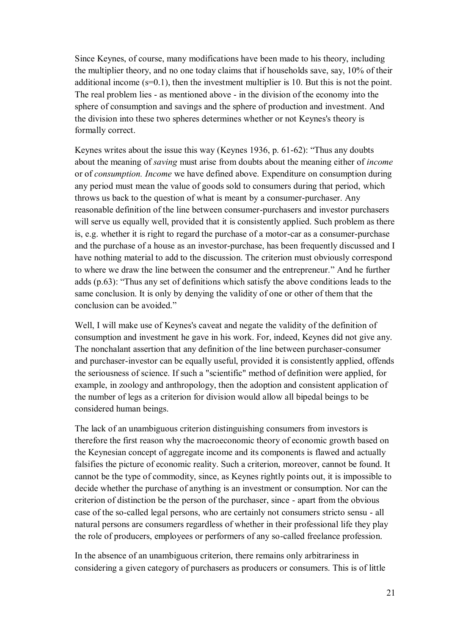Since Keynes, of course, many modifications have been made to his theory, including the multiplier theory, and no one today claims that if households save, say, 10% of their additional income (s=0.1), then the investment multiplier is 10. But this is not the point. The real problem lies - as mentioned above - in the division of the economy into the sphere of consumption and savings and the sphere of production and investment. And the division into these two spheres determines whether or not Keynes's theory is formally correct.

Keynes writes about the issue this way (Keynes 1936, p. 61-62): "Thus any doubts about the meaning of *saving* must arise from doubts about the meaning either of *income*  or of *consumption. Income* we have defined above. Expenditure on consumption during any period must mean the value of goods sold to consumers during that period, which throws us back to the question of what is meant by a consumer-purchaser. Any reasonable definition of the line between consumer-purchasers and investor purchasers will serve us equally well, provided that it is consistently applied. Such problem as there is, e.g. whether it is right to regard the purchase of a motor-car as a consumer-purchase and the purchase of a house as an investor-purchase, has been frequently discussed and I have nothing material to add to the discussion. The criterion must obviously correspond to where we draw the line between the consumer and the entrepreneur." And he further adds (p.63): "Thus any set of definitions which satisfy the above conditions leads to the same conclusion. It is only by denying the validity of one or other of them that the conclusion can be avoided."

Well, I will make use of Keynes's caveat and negate the validity of the definition of consumption and investment he gave in his work. For, indeed, Keynes did not give any. The nonchalant assertion that any definition of the line between purchaser-consumer and purchaser-investor can be equally useful, provided it is consistently applied, offends the seriousness of science. If such a "scientific" method of definition were applied, for example, in zoology and anthropology, then the adoption and consistent application of the number of legs as a criterion for division would allow all bipedal beings to be considered human beings.

The lack of an unambiguous criterion distinguishing consumers from investors is therefore the first reason why the macroeconomic theory of economic growth based on the Keynesian concept of aggregate income and its components is flawed and actually falsifies the picture of economic reality. Such a criterion, moreover, cannot be found. It cannot be the type of commodity, since, as Keynes rightly points out, it is impossible to decide whether the purchase of anything is an investment or consumption. Nor can the criterion of distinction be the person of the purchaser, since - apart from the obvious case of the so-called legal persons, who are certainly not consumers stricto sensu - all natural persons are consumers regardless of whether in their professional life they play the role of producers, employees or performers of any so-called freelance profession.

In the absence of an unambiguous criterion, there remains only arbitrariness in considering a given category of purchasers as producers or consumers. This is of little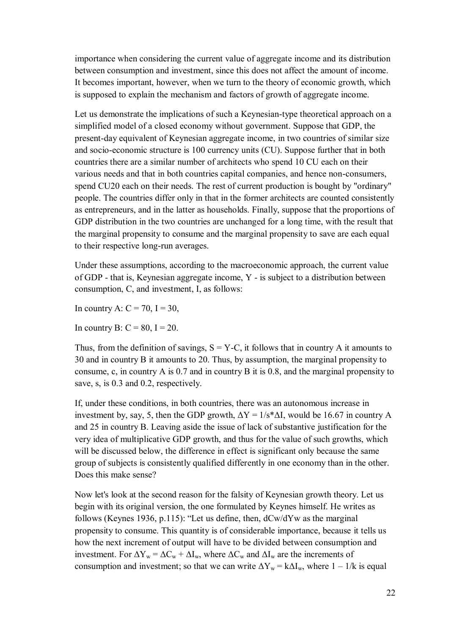importance when considering the current value of aggregate income and its distribution between consumption and investment, since this does not affect the amount of income. It becomes important, however, when we turn to the theory of economic growth, which is supposed to explain the mechanism and factors of growth of aggregate income.

Let us demonstrate the implications of such a Keynesian-type theoretical approach on a simplified model of a closed economy without government. Suppose that GDP, the present-day equivalent of Keynesian aggregate income, in two countries of similar size and socio-economic structure is 100 currency units (CU). Suppose further that in both countries there are a similar number of architects who spend 10 CU each on their various needs and that in both countries capital companies, and hence non-consumers, spend CU20 each on their needs. The rest of current production is bought by "ordinary" people. The countries differ only in that in the former architects are counted consistently as entrepreneurs, and in the latter as households. Finally, suppose that the proportions of GDP distribution in the two countries are unchanged for a long time, with the result that the marginal propensity to consume and the marginal propensity to save are each equal to their respective long-run averages.

Under these assumptions, according to the macroeconomic approach, the current value of GDP - that is, Keynesian aggregate income, Y - is subject to a distribution between consumption, C, and investment, I, as follows:

In country A:  $C = 70$ , I = 30,

In country B:  $C = 80$ , I = 20.

Thus, from the definition of savings,  $S = Y - C$ , it follows that in country A it amounts to 30 and in country B it amounts to 20. Thus, by assumption, the marginal propensity to consume, c, in country A is 0.7 and in country B it is 0.8, and the marginal propensity to save, s, is  $0.3$  and  $0.2$ , respectively.

If, under these conditions, in both countries, there was an autonomous increase in investment by, say, 5, then the GDP growth,  $\Delta Y = 1/s^* \Delta I$ , would be 16.67 in country A and 25 in country B. Leaving aside the issue of lack of substantive justification for the very idea of multiplicative GDP growth, and thus for the value of such growths, which will be discussed below, the difference in effect is significant only because the same group of subjects is consistently qualified differently in one economy than in the other. Does this make sense?

Now let's look at the second reason for the falsity of Keynesian growth theory. Let us begin with its original version, the one formulated by Keynes himself. He writes as follows (Keynes 1936, p.115): "Let us define, then, dCw/dYw as the marginal propensity to consume. This quantity is of considerable importance, because it tells us how the next increment of output will have to be divided between consumption and investment. For  $\Delta Y_w = \Delta C_w + \Delta I_w$ , where  $\Delta C_w$  and  $\Delta I_w$  are the increments of consumption and investment; so that we can write  $\Delta Y_w = k \Delta I_w$ , where  $1 - 1/k$  is equal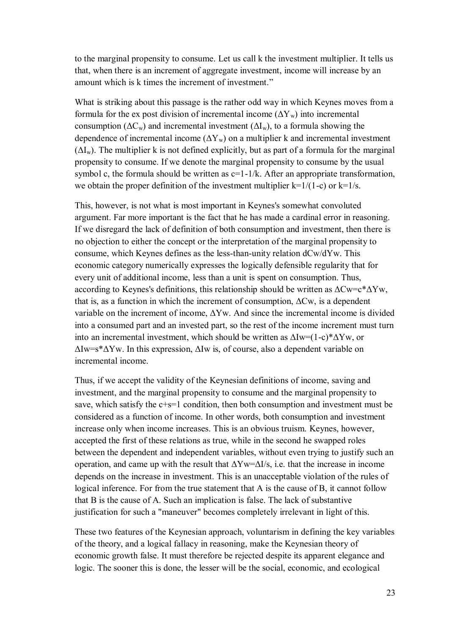to the marginal propensity to consume. Let us call k the investment multiplier. It tells us that, when there is an increment of aggregate investment, income will increase by an amount which is k times the increment of investment."

What is striking about this passage is the rather odd way in which Keynes moves from a formula for the ex post division of incremental income  $(\Delta Y_w)$  into incremental consumption ( $\Delta C_w$ ) and incremental investment ( $\Delta I_w$ ), to a formula showing the dependence of incremental income  $(\Delta Y_w)$  on a multiplier k and incremental investment  $(\Delta I_w)$ . The multiplier k is not defined explicitly, but as part of a formula for the marginal propensity to consume. If we denote the marginal propensity to consume by the usual symbol c, the formula should be written as  $c=1-1/k$ . After an appropriate transformation, we obtain the proper definition of the investment multiplier  $k=1/(1-c)$  or  $k=1/s$ .

This, however, is not what is most important in Keynes's somewhat convoluted argument. Far more important is the fact that he has made a cardinal error in reasoning. If we disregard the lack of definition of both consumption and investment, then there is no objection to either the concept or the interpretation of the marginal propensity to consume, which Keynes defines as the less-than-unity relation dCw/dYw. This economic category numerically expresses the logically defensible regularity that for every unit of additional income, less than a unit is spent on consumption. Thus, according to Keynes's definitions, this relationship should be written as  $\Delta$ Cw=c\* $\Delta$ Yw, that is, as a function in which the increment of consumption,  $\Delta$ Cw, is a dependent variable on the increment of income, ΔYw. And since the incremental income is divided into a consumed part and an invested part, so the rest of the income increment must turn into an incremental investment, which should be written as  $\Delta Iw=(1-c)^*\Delta Yw$ , or  $\Delta Iw=s^*\Delta Yw$ . In this expression,  $\Delta Iw$  is, of course, also a dependent variable on incremental income.

Thus, if we accept the validity of the Keynesian definitions of income, saving and investment, and the marginal propensity to consume and the marginal propensity to save, which satisfy the  $c+s=1$  condition, then both consumption and investment must be considered as a function of income. In other words, both consumption and investment increase only when income increases. This is an obvious truism. Keynes, however, accepted the first of these relations as true, while in the second he swapped roles between the dependent and independent variables, without even trying to justify such an operation, and came up with the result that  $\Delta Yw=\Delta I/s$ , i.e. that the increase in income depends on the increase in investment. This is an unacceptable violation of the rules of logical inference. For from the true statement that A is the cause of B, it cannot follow that B is the cause of A. Such an implication is false. The lack of substantive justification for such a "maneuver" becomes completely irrelevant in light of this.

These two features of the Keynesian approach, voluntarism in defining the key variables of the theory, and a logical fallacy in reasoning, make the Keynesian theory of economic growth false. It must therefore be rejected despite its apparent elegance and logic. The sooner this is done, the lesser will be the social, economic, and ecological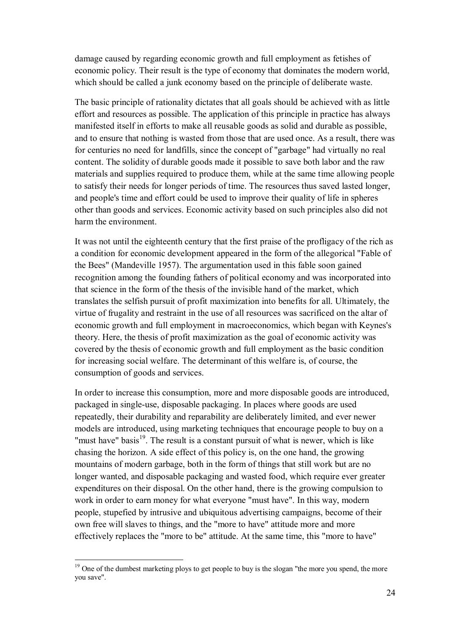damage caused by regarding economic growth and full employment as fetishes of economic policy. Their result is the type of economy that dominates the modern world, which should be called a junk economy based on the principle of deliberate waste.

The basic principle of rationality dictates that all goals should be achieved with as little effort and resources as possible. The application of this principle in practice has always manifested itself in efforts to make all reusable goods as solid and durable as possible, and to ensure that nothing is wasted from those that are used once. As a result, there was for centuries no need for landfills, since the concept of "garbage" had virtually no real content. The solidity of durable goods made it possible to save both labor and the raw materials and supplies required to produce them, while at the same time allowing people to satisfy their needs for longer periods of time. The resources thus saved lasted longer, and people's time and effort could be used to improve their quality of life in spheres other than goods and services. Economic activity based on such principles also did not harm the environment.

It was not until the eighteenth century that the first praise of the profligacy of the rich as a condition for economic development appeared in the form of the allegorical "Fable of the Bees" (Mandeville 1957). The argumentation used in this fable soon gained recognition among the founding fathers of political economy and was incorporated into that science in the form of the thesis of the invisible hand of the market, which translates the selfish pursuit of profit maximization into benefits for all. Ultimately, the virtue of frugality and restraint in the use of all resources was sacrificed on the altar of economic growth and full employment in macroeconomics, which began with Keynes's theory. Here, the thesis of profit maximization as the goal of economic activity was covered by the thesis of economic growth and full employment as the basic condition for increasing social welfare. The determinant of this welfare is, of course, the consumption of goods and services.

In order to increase this consumption, more and more disposable goods are introduced, packaged in single-use, disposable packaging. In places where goods are used repeatedly, their durability and reparability are deliberately limited, and ever newer models are introduced, using marketing techniques that encourage people to buy on a "must have" basis $19$ . The result is a constant pursuit of what is newer, which is like chasing the horizon. A side effect of this policy is, on the one hand, the growing mountains of modern garbage, both in the form of things that still work but are no longer wanted, and disposable packaging and wasted food, which require ever greater expenditures on their disposal. On the other hand, there is the growing compulsion to work in order to earn money for what everyone "must have". In this way, modern people, stupefied by intrusive and ubiquitous advertising campaigns, become of their own free will slaves to things, and the "more to have" attitude more and more effectively replaces the "more to be" attitude. At the same time, this "more to have"

<sup>&</sup>lt;sup>19</sup> One of the dumbest marketing ploys to get people to buy is the slogan "the more you spend, the more you save".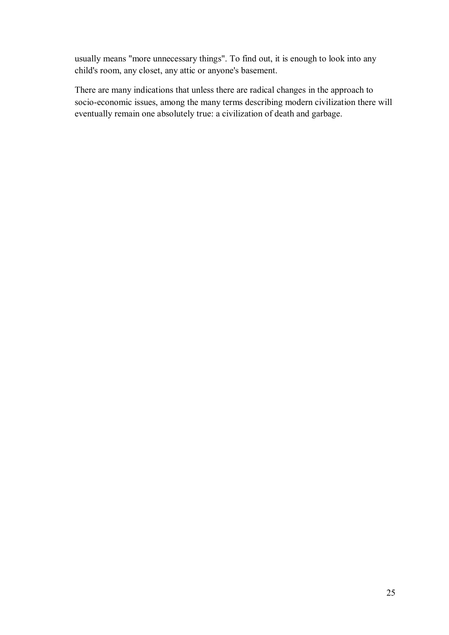usually means "more unnecessary things". To find out, it is enough to look into any child's room, any closet, any attic or anyone's basement.

There are many indications that unless there are radical changes in the approach to socio-economic issues, among the many terms describing modern civilization there will eventually remain one absolutely true: a civilization of death and garbage.